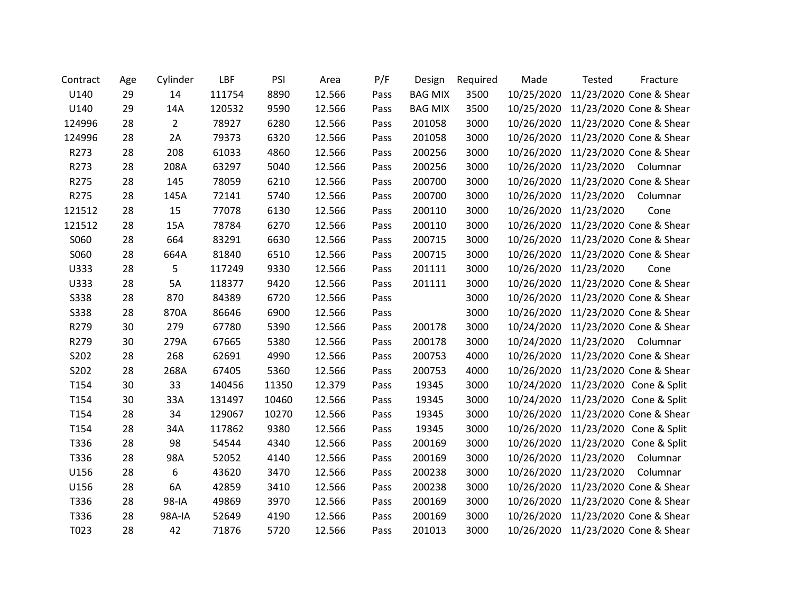| Contract | Age | Cylinder       | LBF    | PSI   | Area   | P/F  | Design         | Required | Made       | Tested     | Fracture                |
|----------|-----|----------------|--------|-------|--------|------|----------------|----------|------------|------------|-------------------------|
| U140     | 29  | 14             | 111754 | 8890  | 12.566 | Pass | <b>BAG MIX</b> | 3500     | 10/25/2020 |            | 11/23/2020 Cone & Shear |
| U140     | 29  | 14A            | 120532 | 9590  | 12.566 | Pass | <b>BAG MIX</b> | 3500     | 10/25/2020 |            | 11/23/2020 Cone & Shear |
| 124996   | 28  | $\overline{2}$ | 78927  | 6280  | 12.566 | Pass | 201058         | 3000     | 10/26/2020 |            | 11/23/2020 Cone & Shear |
| 124996   | 28  | 2A             | 79373  | 6320  | 12.566 | Pass | 201058         | 3000     | 10/26/2020 |            | 11/23/2020 Cone & Shear |
| R273     | 28  | 208            | 61033  | 4860  | 12.566 | Pass | 200256         | 3000     | 10/26/2020 |            | 11/23/2020 Cone & Shear |
| R273     | 28  | 208A           | 63297  | 5040  | 12.566 | Pass | 200256         | 3000     | 10/26/2020 | 11/23/2020 | Columnar                |
| R275     | 28  | 145            | 78059  | 6210  | 12.566 | Pass | 200700         | 3000     | 10/26/2020 |            | 11/23/2020 Cone & Shear |
| R275     | 28  | 145A           | 72141  | 5740  | 12.566 | Pass | 200700         | 3000     | 10/26/2020 | 11/23/2020 | Columnar                |
| 121512   | 28  | 15             | 77078  | 6130  | 12.566 | Pass | 200110         | 3000     | 10/26/2020 | 11/23/2020 | Cone                    |
| 121512   | 28  | 15A            | 78784  | 6270  | 12.566 | Pass | 200110         | 3000     | 10/26/2020 |            | 11/23/2020 Cone & Shear |
| S060     | 28  | 664            | 83291  | 6630  | 12.566 | Pass | 200715         | 3000     | 10/26/2020 |            | 11/23/2020 Cone & Shear |
| S060     | 28  | 664A           | 81840  | 6510  | 12.566 | Pass | 200715         | 3000     | 10/26/2020 |            | 11/23/2020 Cone & Shear |
| U333     | 28  | 5              | 117249 | 9330  | 12.566 | Pass | 201111         | 3000     | 10/26/2020 | 11/23/2020 | Cone                    |
| U333     | 28  | 5A             | 118377 | 9420  | 12.566 | Pass | 201111         | 3000     | 10/26/2020 |            | 11/23/2020 Cone & Shear |
| S338     | 28  | 870            | 84389  | 6720  | 12.566 | Pass |                | 3000     | 10/26/2020 |            | 11/23/2020 Cone & Shear |
| S338     | 28  | 870A           | 86646  | 6900  | 12.566 | Pass |                | 3000     | 10/26/2020 |            | 11/23/2020 Cone & Shear |
| R279     | 30  | 279            | 67780  | 5390  | 12.566 | Pass | 200178         | 3000     | 10/24/2020 |            | 11/23/2020 Cone & Shear |
| R279     | 30  | 279A           | 67665  | 5380  | 12.566 | Pass | 200178         | 3000     | 10/24/2020 | 11/23/2020 | Columnar                |
| S202     | 28  | 268            | 62691  | 4990  | 12.566 | Pass | 200753         | 4000     | 10/26/2020 |            | 11/23/2020 Cone & Shear |
| S202     | 28  | 268A           | 67405  | 5360  | 12.566 | Pass | 200753         | 4000     | 10/26/2020 |            | 11/23/2020 Cone & Shear |
| T154     | 30  | 33             | 140456 | 11350 | 12.379 | Pass | 19345          | 3000     | 10/24/2020 |            | 11/23/2020 Cone & Split |
| T154     | 30  | 33A            | 131497 | 10460 | 12.566 | Pass | 19345          | 3000     | 10/24/2020 |            | 11/23/2020 Cone & Split |
| T154     | 28  | 34             | 129067 | 10270 | 12.566 | Pass | 19345          | 3000     | 10/26/2020 |            | 11/23/2020 Cone & Shear |
| T154     | 28  | 34A            | 117862 | 9380  | 12.566 | Pass | 19345          | 3000     | 10/26/2020 |            | 11/23/2020 Cone & Split |
| T336     | 28  | 98             | 54544  | 4340  | 12.566 | Pass | 200169         | 3000     | 10/26/2020 |            | 11/23/2020 Cone & Split |
| T336     | 28  | 98A            | 52052  | 4140  | 12.566 | Pass | 200169         | 3000     | 10/26/2020 | 11/23/2020 | Columnar                |
| U156     | 28  | 6              | 43620  | 3470  | 12.566 | Pass | 200238         | 3000     | 10/26/2020 | 11/23/2020 | Columnar                |
| U156     | 28  | 6A             | 42859  | 3410  | 12.566 | Pass | 200238         | 3000     | 10/26/2020 |            | 11/23/2020 Cone & Shear |
| T336     | 28  | 98-IA          | 49869  | 3970  | 12.566 | Pass | 200169         | 3000     | 10/26/2020 |            | 11/23/2020 Cone & Shear |
| T336     | 28  | 98A-IA         | 52649  | 4190  | 12.566 | Pass | 200169         | 3000     | 10/26/2020 |            | 11/23/2020 Cone & Shear |
| T023     | 28  | 42             | 71876  | 5720  | 12.566 | Pass | 201013         | 3000     | 10/26/2020 |            | 11/23/2020 Cone & Shear |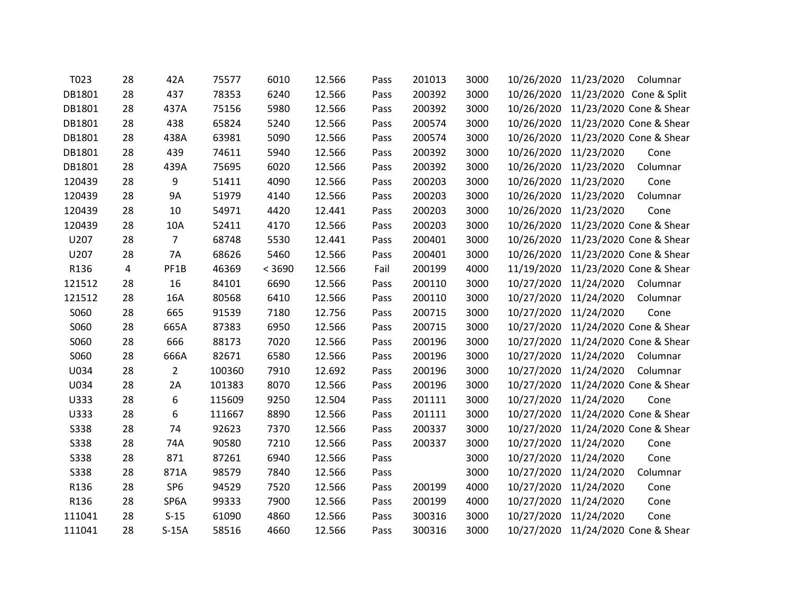| T023        | 28 | 42A             | 75577  | 6010   | 12.566 | Pass | 201013 | 3000 | 10/26/2020 | 11/23/2020            | Columnar                           |
|-------------|----|-----------------|--------|--------|--------|------|--------|------|------------|-----------------------|------------------------------------|
| DB1801      | 28 | 437             | 78353  | 6240   | 12.566 | Pass | 200392 | 3000 | 10/26/2020 |                       | 11/23/2020 Cone & Split            |
| DB1801      | 28 | 437A            | 75156  | 5980   | 12.566 | Pass | 200392 | 3000 |            |                       | 10/26/2020 11/23/2020 Cone & Shear |
| DB1801      | 28 | 438             | 65824  | 5240   | 12.566 | Pass | 200574 | 3000 | 10/26/2020 |                       | 11/23/2020 Cone & Shear            |
| DB1801      | 28 | 438A            | 63981  | 5090   | 12.566 | Pass | 200574 | 3000 | 10/26/2020 |                       | 11/23/2020 Cone & Shear            |
| DB1801      | 28 | 439             | 74611  | 5940   | 12.566 | Pass | 200392 | 3000 | 10/26/2020 | 11/23/2020            | Cone                               |
| DB1801      | 28 | 439A            | 75695  | 6020   | 12.566 | Pass | 200392 | 3000 |            | 10/26/2020 11/23/2020 | Columnar                           |
| 120439      | 28 | 9               | 51411  | 4090   | 12.566 | Pass | 200203 | 3000 | 10/26/2020 | 11/23/2020            | Cone                               |
| 120439      | 28 | <b>9A</b>       | 51979  | 4140   | 12.566 | Pass | 200203 | 3000 | 10/26/2020 | 11/23/2020            | Columnar                           |
| 120439      | 28 | 10              | 54971  | 4420   | 12.441 | Pass | 200203 | 3000 | 10/26/2020 | 11/23/2020            | Cone                               |
| 120439      | 28 | 10A             | 52411  | 4170   | 12.566 | Pass | 200203 | 3000 | 10/26/2020 |                       | 11/23/2020 Cone & Shear            |
| U207        | 28 | $\overline{7}$  | 68748  | 5530   | 12.441 | Pass | 200401 | 3000 |            |                       | 10/26/2020 11/23/2020 Cone & Shear |
| U207        | 28 | 7A              | 68626  | 5460   | 12.566 | Pass | 200401 | 3000 | 10/26/2020 |                       | 11/23/2020 Cone & Shear            |
| R136        | 4  | PF1B            | 46369  | < 3690 | 12.566 | Fail | 200199 | 4000 | 11/19/2020 |                       | 11/23/2020 Cone & Shear            |
| 121512      | 28 | 16              | 84101  | 6690   | 12.566 | Pass | 200110 | 3000 | 10/27/2020 | 11/24/2020            | Columnar                           |
| 121512      | 28 | 16A             | 80568  | 6410   | 12.566 | Pass | 200110 | 3000 | 10/27/2020 | 11/24/2020            | Columnar                           |
| S060        | 28 | 665             | 91539  | 7180   | 12.756 | Pass | 200715 | 3000 | 10/27/2020 | 11/24/2020            | Cone                               |
| S060        | 28 | 665A            | 87383  | 6950   | 12.566 | Pass | 200715 | 3000 |            |                       | 10/27/2020 11/24/2020 Cone & Shear |
| S060        | 28 | 666             | 88173  | 7020   | 12.566 | Pass | 200196 | 3000 | 10/27/2020 |                       | 11/24/2020 Cone & Shear            |
| S060        | 28 | 666A            | 82671  | 6580   | 12.566 | Pass | 200196 | 3000 |            | 10/27/2020 11/24/2020 | Columnar                           |
| U034        | 28 | $\overline{2}$  | 100360 | 7910   | 12.692 | Pass | 200196 | 3000 | 10/27/2020 | 11/24/2020            | Columnar                           |
| U034        | 28 | 2A              | 101383 | 8070   | 12.566 | Pass | 200196 | 3000 | 10/27/2020 |                       | 11/24/2020 Cone & Shear            |
| U333        | 28 | 6               | 115609 | 9250   | 12.504 | Pass | 201111 | 3000 | 10/27/2020 | 11/24/2020            | Cone                               |
| U333        | 28 | 6               | 111667 | 8890   | 12.566 | Pass | 201111 | 3000 | 10/27/2020 |                       | 11/24/2020 Cone & Shear            |
| <b>S338</b> | 28 | 74              | 92623  | 7370   | 12.566 | Pass | 200337 | 3000 | 10/27/2020 |                       | 11/24/2020 Cone & Shear            |
| S338        | 28 | 74A             | 90580  | 7210   | 12.566 | Pass | 200337 | 3000 |            | 10/27/2020 11/24/2020 | Cone                               |
| <b>S338</b> | 28 | 871             | 87261  | 6940   | 12.566 | Pass |        | 3000 | 10/27/2020 | 11/24/2020            | Cone                               |
| <b>S338</b> | 28 | 871A            | 98579  | 7840   | 12.566 | Pass |        | 3000 | 10/27/2020 | 11/24/2020            | Columnar                           |
| R136        | 28 | SP <sub>6</sub> | 94529  | 7520   | 12.566 | Pass | 200199 | 4000 |            | 10/27/2020 11/24/2020 | Cone                               |
| R136        | 28 | SP6A            | 99333  | 7900   | 12.566 | Pass | 200199 | 4000 | 10/27/2020 | 11/24/2020            | Cone                               |
| 111041      | 28 | $S-15$          | 61090  | 4860   | 12.566 | Pass | 300316 | 3000 | 10/27/2020 | 11/24/2020            | Cone                               |
| 111041      | 28 | $S-15A$         | 58516  | 4660   | 12.566 | Pass | 300316 | 3000 |            |                       | 10/27/2020 11/24/2020 Cone & Shear |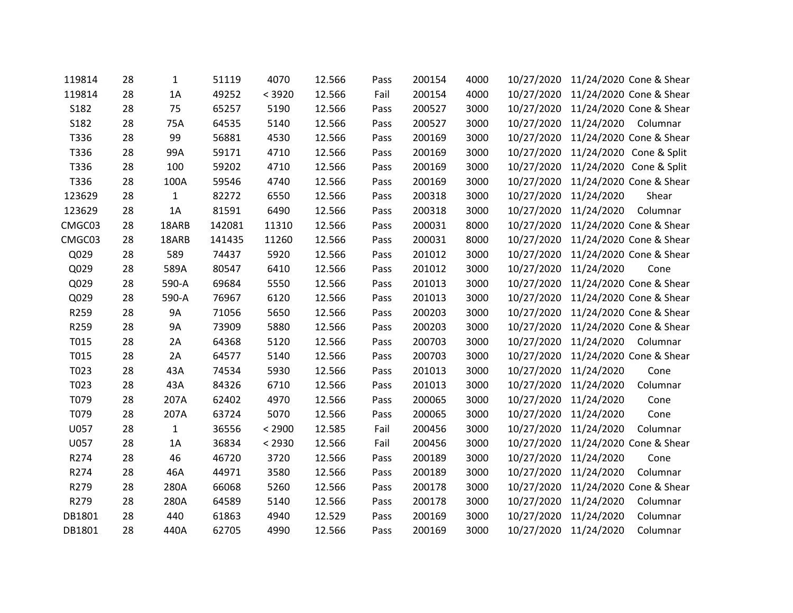| 119814 | 28 | 1            | 51119  | 4070   | 12.566 | Pass | 200154 | 4000 | 10/27/2020            |            | 11/24/2020 Cone & Shear            |
|--------|----|--------------|--------|--------|--------|------|--------|------|-----------------------|------------|------------------------------------|
| 119814 | 28 | 1A           | 49252  | < 3920 | 12.566 | Fail | 200154 | 4000 | 10/27/2020            |            | 11/24/2020 Cone & Shear            |
| S182   | 28 | 75           | 65257  | 5190   | 12.566 | Pass | 200527 | 3000 |                       |            | 10/27/2020 11/24/2020 Cone & Shear |
| S182   | 28 | 75A          | 64535  | 5140   | 12.566 | Pass | 200527 | 3000 | 10/27/2020            | 11/24/2020 | Columnar                           |
| T336   | 28 | 99           | 56881  | 4530   | 12.566 | Pass | 200169 | 3000 | 10/27/2020            |            | 11/24/2020 Cone & Shear            |
| T336   | 28 | 99A          | 59171  | 4710   | 12.566 | Pass | 200169 | 3000 |                       |            | 10/27/2020 11/24/2020 Cone & Split |
| T336   | 28 | 100          | 59202  | 4710   | 12.566 | Pass | 200169 | 3000 | 10/27/2020            |            | 11/24/2020 Cone & Split            |
| T336   | 28 | 100A         | 59546  | 4740   | 12.566 | Pass | 200169 | 3000 |                       |            | 10/27/2020 11/24/2020 Cone & Shear |
| 123629 | 28 | $\mathbf{1}$ | 82272  | 6550   | 12.566 | Pass | 200318 | 3000 | 10/27/2020 11/24/2020 |            | Shear                              |
| 123629 | 28 | 1A           | 81591  | 6490   | 12.566 | Pass | 200318 | 3000 | 10/27/2020            | 11/24/2020 | Columnar                           |
| CMGC03 | 28 | 18ARB        | 142081 | 11310  | 12.566 | Pass | 200031 | 8000 | 10/27/2020            |            | 11/24/2020 Cone & Shear            |
| CMGC03 | 28 | 18ARB        | 141435 | 11260  | 12.566 | Pass | 200031 | 8000 |                       |            | 10/27/2020 11/24/2020 Cone & Shear |
| Q029   | 28 | 589          | 74437  | 5920   | 12.566 | Pass | 201012 | 3000 | 10/27/2020            |            | 11/24/2020 Cone & Shear            |
| Q029   | 28 | 589A         | 80547  | 6410   | 12.566 | Pass | 201012 | 3000 | 10/27/2020            | 11/24/2020 | Cone                               |
| Q029   | 28 | 590-A        | 69684  | 5550   | 12.566 | Pass | 201013 | 3000 |                       |            | 10/27/2020 11/24/2020 Cone & Shear |
| Q029   | 28 | 590-A        | 76967  | 6120   | 12.566 | Pass | 201013 | 3000 | 10/27/2020            |            | 11/24/2020 Cone & Shear            |
| R259   | 28 | <b>9A</b>    | 71056  | 5650   | 12.566 | Pass | 200203 | 3000 | 10/27/2020            |            | 11/24/2020 Cone & Shear            |
| R259   | 28 | <b>9A</b>    | 73909  | 5880   | 12.566 | Pass | 200203 | 3000 |                       |            | 10/27/2020 11/24/2020 Cone & Shear |
| T015   | 28 | 2A           | 64368  | 5120   | 12.566 | Pass | 200703 | 3000 | 10/27/2020            | 11/24/2020 | Columnar                           |
| T015   | 28 | 2A           | 64577  | 5140   | 12.566 | Pass | 200703 | 3000 |                       |            | 10/27/2020 11/24/2020 Cone & Shear |
| T023   | 28 | 43A          | 74534  | 5930   | 12.566 | Pass | 201013 | 3000 | 10/27/2020            | 11/24/2020 | Cone                               |
| T023   | 28 | 43A          | 84326  | 6710   | 12.566 | Pass | 201013 | 3000 | 10/27/2020            | 11/24/2020 | Columnar                           |
| T079   | 28 | 207A         | 62402  | 4970   | 12.566 | Pass | 200065 | 3000 | 10/27/2020            | 11/24/2020 | Cone                               |
| T079   | 28 | 207A         | 63724  | 5070   | 12.566 | Pass | 200065 | 3000 | 10/27/2020            | 11/24/2020 | Cone                               |
| U057   | 28 | $\mathbf{1}$ | 36556  | < 2900 | 12.585 | Fail | 200456 | 3000 | 10/27/2020            | 11/24/2020 | Columnar                           |
| U057   | 28 | 1A           | 36834  | < 2930 | 12.566 | Fail | 200456 | 3000 |                       |            | 10/27/2020 11/24/2020 Cone & Shear |
| R274   | 28 | 46           | 46720  | 3720   | 12.566 | Pass | 200189 | 3000 | 10/27/2020            | 11/24/2020 | Cone                               |
| R274   | 28 | 46A          | 44971  | 3580   | 12.566 | Pass | 200189 | 3000 | 10/27/2020            | 11/24/2020 | Columnar                           |
| R279   | 28 | 280A         | 66068  | 5260   | 12.566 | Pass | 200178 | 3000 |                       |            | 10/27/2020 11/24/2020 Cone & Shear |
| R279   | 28 | 280A         | 64589  | 5140   | 12.566 | Pass | 200178 | 3000 | 10/27/2020            | 11/24/2020 | Columnar                           |
| DB1801 | 28 | 440          | 61863  | 4940   | 12.529 | Pass | 200169 | 3000 | 10/27/2020            | 11/24/2020 | Columnar                           |
| DB1801 | 28 | 440A         | 62705  | 4990   | 12.566 | Pass | 200169 | 3000 | 10/27/2020 11/24/2020 |            | Columnar                           |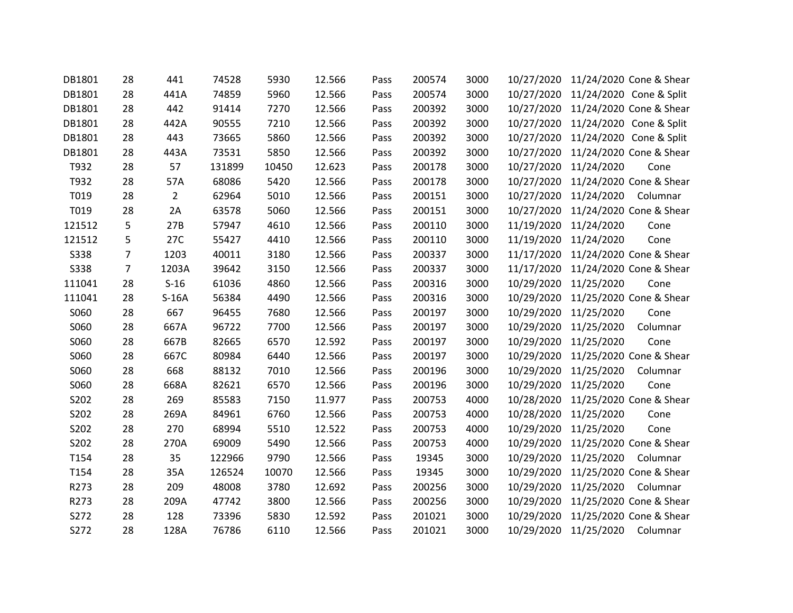| DB1801      | 28             | 441            | 74528  | 5930  | 12.566 | Pass | 200574 | 3000 | 10/27/2020 |                                | 11/24/2020 Cone & Shear            |
|-------------|----------------|----------------|--------|-------|--------|------|--------|------|------------|--------------------------------|------------------------------------|
| DB1801      | 28             | 441A           | 74859  | 5960  | 12.566 | Pass | 200574 | 3000 | 10/27/2020 |                                | 11/24/2020 Cone & Split            |
| DB1801      | 28             | 442            | 91414  | 7270  | 12.566 | Pass | 200392 | 3000 |            |                                | 10/27/2020 11/24/2020 Cone & Shear |
| DB1801      | 28             | 442A           | 90555  | 7210  | 12.566 | Pass | 200392 | 3000 | 10/27/2020 |                                | 11/24/2020 Cone & Split            |
| DB1801      | 28             | 443            | 73665  | 5860  | 12.566 | Pass | 200392 | 3000 | 10/27/2020 |                                | 11/24/2020 Cone & Split            |
| DB1801      | 28             | 443A           | 73531  | 5850  | 12.566 | Pass | 200392 | 3000 | 10/27/2020 |                                | 11/24/2020 Cone & Shear            |
| T932        | 28             | 57             | 131899 | 10450 | 12.623 | Pass | 200178 | 3000 | 10/27/2020 | 11/24/2020                     | Cone                               |
| T932        | 28             | 57A            | 68086  | 5420  | 12.566 | Pass | 200178 | 3000 | 10/27/2020 |                                | 11/24/2020 Cone & Shear            |
| T019        | 28             | $\overline{2}$ | 62964  | 5010  | 12.566 | Pass | 200151 | 3000 |            | 10/27/2020 11/24/2020 Columnar |                                    |
| T019        | 28             | 2A             | 63578  | 5060  | 12.566 | Pass | 200151 | 3000 | 10/27/2020 |                                | 11/24/2020 Cone & Shear            |
| 121512      | 5              | 27B            | 57947  | 4610  | 12.566 | Pass | 200110 | 3000 | 11/19/2020 | 11/24/2020                     | Cone                               |
| 121512      | 5              | 27C            | 55427  | 4410  | 12.566 | Pass | 200110 | 3000 |            | 11/19/2020 11/24/2020          | Cone                               |
| <b>S338</b> | $\overline{7}$ | 1203           | 40011  | 3180  | 12.566 | Pass | 200337 | 3000 | 11/17/2020 |                                | 11/24/2020 Cone & Shear            |
| <b>S338</b> | $\overline{7}$ | 1203A          | 39642  | 3150  | 12.566 | Pass | 200337 | 3000 | 11/17/2020 |                                | 11/24/2020 Cone & Shear            |
| 111041      | 28             | $S-16$         | 61036  | 4860  | 12.566 | Pass | 200316 | 3000 |            | 10/29/2020 11/25/2020          | Cone                               |
| 111041      | 28             | $S-16A$        | 56384  | 4490  | 12.566 | Pass | 200316 | 3000 | 10/29/2020 |                                | 11/25/2020 Cone & Shear            |
| S060        | 28             | 667            | 96455  | 7680  | 12.566 | Pass | 200197 | 3000 | 10/29/2020 | 11/25/2020                     | Cone                               |
| S060        | 28             | 667A           | 96722  | 7700  | 12.566 | Pass | 200197 | 3000 |            | 10/29/2020 11/25/2020          | Columnar                           |
| S060        | 28             | 667B           | 82665  | 6570  | 12.592 | Pass | 200197 | 3000 | 10/29/2020 | 11/25/2020                     | Cone                               |
| S060        | 28             | 667C           | 80984  | 6440  | 12.566 | Pass | 200197 | 3000 |            |                                | 10/29/2020 11/25/2020 Cone & Shear |
| S060        | 28             | 668            | 88132  | 7010  | 12.566 | Pass | 200196 | 3000 | 10/29/2020 | 11/25/2020                     | Columnar                           |
| S060        | 28             | 668A           | 82621  | 6570  | 12.566 | Pass | 200196 | 3000 | 10/29/2020 | 11/25/2020                     | Cone                               |
| S202        | 28             | 269            | 85583  | 7150  | 11.977 | Pass | 200753 | 4000 | 10/28/2020 |                                | 11/25/2020 Cone & Shear            |
| S202        | 28             | 269A           | 84961  | 6760  | 12.566 | Pass | 200753 | 4000 | 10/28/2020 | 11/25/2020                     | Cone                               |
| S202        | 28             | 270            | 68994  | 5510  | 12.522 | Pass | 200753 | 4000 | 10/29/2020 | 11/25/2020                     | Cone                               |
| S202        | 28             | 270A           | 69009  | 5490  | 12.566 | Pass | 200753 | 4000 |            |                                | 10/29/2020 11/25/2020 Cone & Shear |
| T154        | 28             | 35             | 122966 | 9790  | 12.566 | Pass | 19345  | 3000 | 10/29/2020 | 11/25/2020                     | Columnar                           |
| T154        | 28             | 35A            | 126524 | 10070 | 12.566 | Pass | 19345  | 3000 | 10/29/2020 |                                | 11/25/2020 Cone & Shear            |
| R273        | 28             | 209            | 48008  | 3780  | 12.692 | Pass | 200256 | 3000 | 10/29/2020 | 11/25/2020 Columnar            |                                    |
| R273        | 28             | 209A           | 47742  | 3800  | 12.566 | Pass | 200256 | 3000 | 10/29/2020 |                                | 11/25/2020 Cone & Shear            |
| S272        | 28             | 128            | 73396  | 5830  | 12.592 | Pass | 201021 | 3000 | 10/29/2020 |                                | 11/25/2020 Cone & Shear            |
| S272        | 28             | 128A           | 76786  | 6110  | 12.566 | Pass | 201021 | 3000 | 10/29/2020 | 11/25/2020 Columnar            |                                    |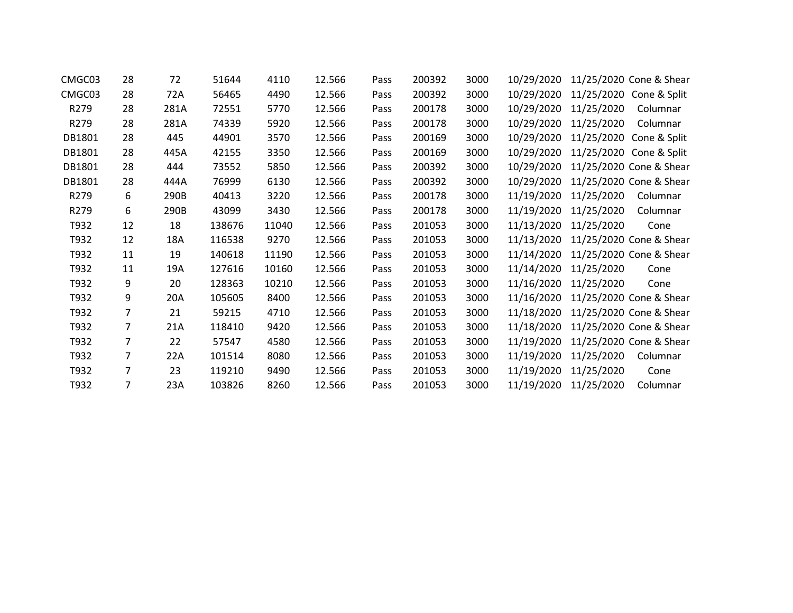| CMGC03 | 28             | 72   | 51644  | 4110  | 12.566 | Pass | 200392 | 3000 | 10/29/2020 |            | 11/25/2020 Cone & Shear |
|--------|----------------|------|--------|-------|--------|------|--------|------|------------|------------|-------------------------|
| CMGC03 | 28             | 72A  | 56465  | 4490  | 12.566 | Pass | 200392 | 3000 | 10/29/2020 | 11/25/2020 | Cone & Split            |
| R279   | 28             | 281A | 72551  | 5770  | 12.566 | Pass | 200178 | 3000 | 10/29/2020 | 11/25/2020 | Columnar                |
| R279   | 28             | 281A | 74339  | 5920  | 12.566 | Pass | 200178 | 3000 | 10/29/2020 | 11/25/2020 | Columnar                |
| DB1801 | 28             | 445  | 44901  | 3570  | 12.566 | Pass | 200169 | 3000 | 10/29/2020 |            | 11/25/2020 Cone & Split |
| DB1801 | 28             | 445A | 42155  | 3350  | 12.566 | Pass | 200169 | 3000 | 10/29/2020 |            | 11/25/2020 Cone & Split |
| DB1801 | 28             | 444  | 73552  | 5850  | 12.566 | Pass | 200392 | 3000 | 10/29/2020 |            | 11/25/2020 Cone & Shear |
| DB1801 | 28             | 444A | 76999  | 6130  | 12.566 | Pass | 200392 | 3000 | 10/29/2020 |            | 11/25/2020 Cone & Shear |
| R279   | 6              | 290B | 40413  | 3220  | 12.566 | Pass | 200178 | 3000 | 11/19/2020 | 11/25/2020 | Columnar                |
| R279   | 6              | 290B | 43099  | 3430  | 12.566 | Pass | 200178 | 3000 | 11/19/2020 | 11/25/2020 | Columnar                |
| T932   | 12             | 18   | 138676 | 11040 | 12.566 | Pass | 201053 | 3000 | 11/13/2020 | 11/25/2020 | Cone                    |
| T932   | 12             | 18A  | 116538 | 9270  | 12.566 | Pass | 201053 | 3000 | 11/13/2020 |            | 11/25/2020 Cone & Shear |
| T932   | 11             | 19   | 140618 | 11190 | 12.566 | Pass | 201053 | 3000 | 11/14/2020 |            | 11/25/2020 Cone & Shear |
| T932   | 11             | 19A  | 127616 | 10160 | 12.566 | Pass | 201053 | 3000 | 11/14/2020 | 11/25/2020 | Cone                    |
| T932   | 9              | 20   | 128363 | 10210 | 12.566 | Pass | 201053 | 3000 | 11/16/2020 | 11/25/2020 | Cone                    |
| T932   | 9              | 20A  | 105605 | 8400  | 12.566 | Pass | 201053 | 3000 | 11/16/2020 |            | 11/25/2020 Cone & Shear |
| T932   | 7              | 21   | 59215  | 4710  | 12.566 | Pass | 201053 | 3000 | 11/18/2020 |            | 11/25/2020 Cone & Shear |
| T932   | 7              | 21A  | 118410 | 9420  | 12.566 | Pass | 201053 | 3000 | 11/18/2020 |            | 11/25/2020 Cone & Shear |
| T932   | $\overline{7}$ | 22   | 57547  | 4580  | 12.566 | Pass | 201053 | 3000 | 11/19/2020 |            | 11/25/2020 Cone & Shear |
| T932   | 7              | 22A  | 101514 | 8080  | 12.566 | Pass | 201053 | 3000 | 11/19/2020 | 11/25/2020 | Columnar                |
| T932   | 7              | 23   | 119210 | 9490  | 12.566 | Pass | 201053 | 3000 | 11/19/2020 | 11/25/2020 | Cone                    |
| T932   | 7              | 23A  | 103826 | 8260  | 12.566 | Pass | 201053 | 3000 | 11/19/2020 | 11/25/2020 | Columnar                |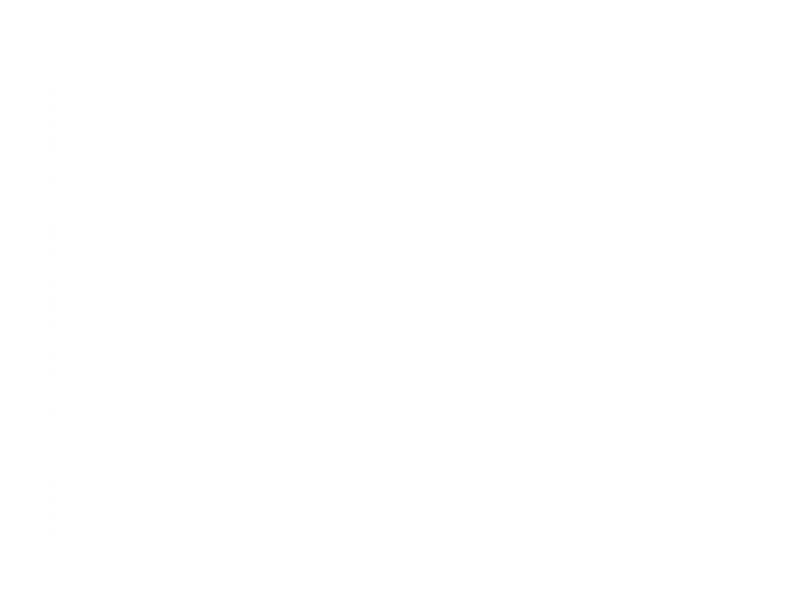- Cone & Shear
- $\sim$   $\sim$
- Cone & Shear
	- Cone & Shear  $\mathcal{L}_{\text{C}}$
	-
	- $C_{\rm{C}}$  , where  $C_{\rm{C}}$ 
		-
	- $\mathcal{O}(\mathcal{O}(\log n))$  . The simple state  $\mathcal{O}(\log n)$
	- $\sim$   $\sim$  $\mathcal{L}(\mathcal{A})$
	-
	- $\mathcal{L}(\mathcal{A})$  $\sim$   $\sim$
	- $\mathcal{L}(\mathcal{A})$
	- $\mathcal{L}_{\text{C}}$  ,  $\mathcal{L}_{\text{C}}$
	- $C^{\infty}$  . Shear  $\mathbb{R}^n$  , we see that
	- $C_{\rm{C}}$  , where  $\mathcal{S}_{\rm{C}}$
	- $\mathcal{C}^{\text{c}}$  , where  $\mathcal{C}^{\text{c}}$  , where  $\mathcal{C}^{\text{c}}$ 
		-
	-
	- $C_{\rm{C}}$  , where  $C_{\rm{C}}$  is a shear of  $\sim$  $\mathcal{L}_{\text{C}}$  ,  $\mathcal{L}_{\text{C}}$
	- $\mathcal{L}(\mathcal{A})$
	- $\mathcal{L}^{\text{c}}$  ,  $\mathcal{L}^{\text{c}}$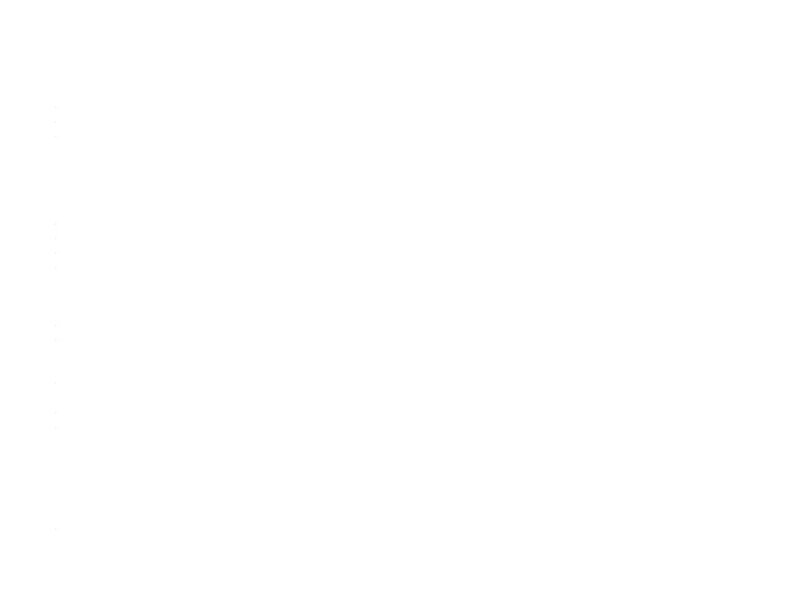- 
- Cone & Shear Cone & Shear
	- $C_{\rm eff}$  , where  $\sim$ 
		-
	-
	- $\mathcal{O}(\mathcal{O}(\log n))$  . The simple state  $\mathcal{O}(\log n)$  $\sim$   $\sim$
	- $\mathcal{L}(\mathcal{A})$
	- $\mathcal{L}_{\text{C}}$  ,  $\mathcal{L}_{\text{C}}$
	-
	- $C_{\rm{C}}$  , where  $\mathcal{S}_{\rm{C}}$  $C_{\rm{C}}$  , where  $C_{\rm{C}}$  , where  $\sigma_{\rm{C}}$ 
		-
	- $C_{\rm{C}}$  , where  $C_{\rm{C}}$  $C_{\rm{C}}$  , where  $C_{\rm{C}}$  , where  $\sigma_{\rm{C}}$
	- $\mathcal{L}_{\mathcal{S}}$  , where  $\mathcal{L}_{\mathcal{S}}$  , where  $\mathcal{L}_{\mathcal{S}}$
	-
	-
	- $C_{\rm{C}}$  , where  $C_{\rm{C}}$
- - - - - -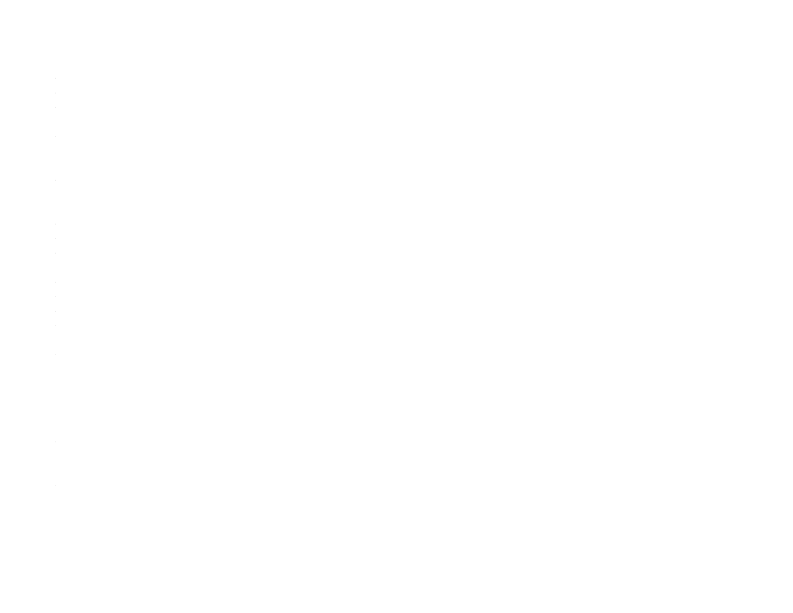- $C_{\rm{C}}$  , where  $C_{\rm{C}}$
- $\mathcal{L}(\mathcal{A})$  $\mathcal{L}(\mathcal{A})$
- 
- $C_{\rm{C}}$  , where  $\mathcal{L}_{\rm{C}}$
- 
- $C_{\rm{C}}$  , where  $C_{\rm{C}}$ 
	-
- $C^{\infty}$  . Shear  $\mathbb{R}^n$  , we have  $\sim$   $\sim$
- $\mathcal{L}(\mathcal{A})$
- 
- $\mathcal{L}(\mathcal{A})$ Cone & Shear
	-
- Cone & Shear

Cone & Shear

- $\mathcal{L}_{\text{Cov}}$  , where  $\mathcal{L}_{\text{Cov}}$  , where  $\mathcal{L}_{\text{Cov}}$ 
	-
	-
- $C_{\rm{C}}$  , where  $C_{\rm{C}}$
- $C^{\infty}$  . The shear of  $\mathbb{R}^n$ 
	- -
- - - - - - - -
							-
							- -
							-
							-
							-
							-
						-
			-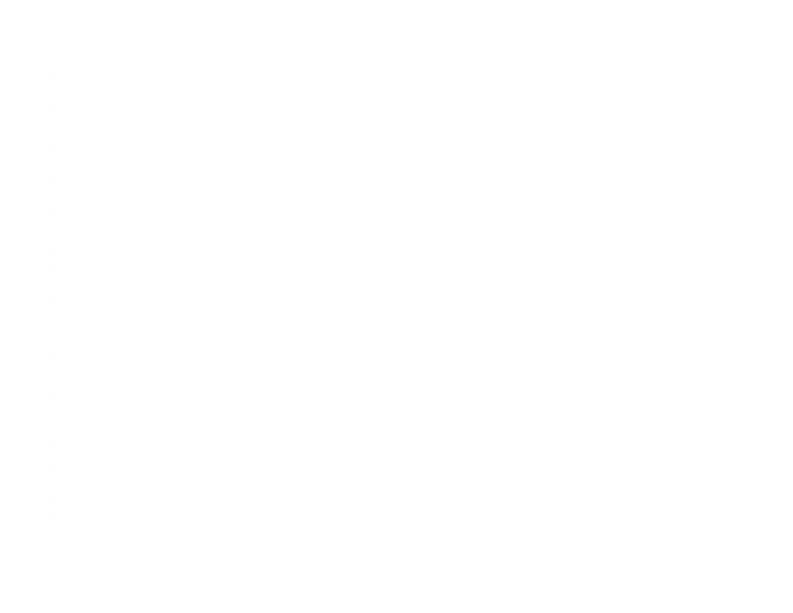$C_{\rm{C}}$  , where  $C_{\rm{C}}$  , where  $\sigma_{\rm{C}}$ 

 $C_{\rm{C}}$  , where  $\mathcal{S}_{\rm{C}}$ 

 $C_{\rm{C}}$  , where  $C_{\rm{C}}$  , where  $\sigma_{\rm{C}}$ 

 $\mathcal{L}_\text{G}$  , where  $\mathcal{L}_\text{G}$  is a simple of  $\mathcal{L}_\text{G}$  $C_{\rm{C}}$  , where  $C_{\rm{C}}$  is the Shear state of the Shear state  $\sim$ 

 $C_{\rm{C}}$  , where  $\mathcal{S}_{\rm{C}}$  $\mathcal{L}(\mathcal{A})$ 

 $C^{\infty}$  , where  $\mathcal{S}^{\infty}$ 

 $C_{\rm{C}}$  , where  $C_{\rm{C}}$  , where  $\sigma_{\rm{C}}$ 

 $C^{\infty}$  . As  $\mathbb{R}^n$  , we have

 $\mathcal{L}_{\text{Cov}}$  , where  $\mathcal{L}_{\text{Cov}}$  $\mathcal{L}_{\text{Cov}}$  , where  $\mathcal{L}_{\text{Cov}}$  , where  $\mathcal{L}_{\text{Cov}}$ 

 $C_{\rm{C}}$  , where  $\mathcal{S}_{\rm{C}}$  $C_{\rm{C}}$  ,  $C_{\rm{C}}$